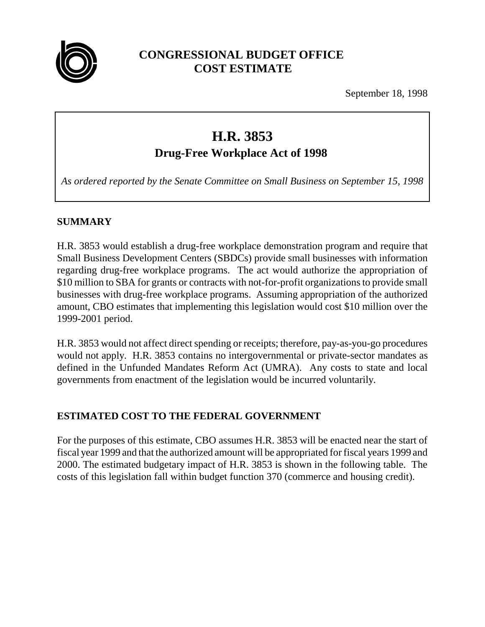

## **CONGRESSIONAL BUDGET OFFICE COST ESTIMATE**

September 18, 1998

# **H.R. 3853**

**Drug-Free Workplace Act of 1998**

*As ordered reported by the Senate Committee on Small Business on September 15, 1998*

## **SUMMARY**

H.R. 3853 would establish a drug-free workplace demonstration program and require that Small Business Development Centers (SBDCs) provide small businesses with information regarding drug-free workplace programs. The act would authorize the appropriation of \$10 million to SBA for grants or contracts with not-for-profit organizations to provide small businesses with drug-free workplace programs. Assuming appropriation of the authorized amount, CBO estimates that implementing this legislation would cost \$10 million over the 1999-2001 period.

H.R. 3853 would not affect direct spending or receipts; therefore, pay-as-you-go procedures would not apply. H.R. 3853 contains no intergovernmental or private-sector mandates as defined in the Unfunded Mandates Reform Act (UMRA). Any costs to state and local governments from enactment of the legislation would be incurred voluntarily.

## **ESTIMATED COST TO THE FEDERAL GOVERNMENT**

For the purposes of this estimate, CBO assumes H.R. 3853 will be enacted near the start of fiscal year 1999 and that the authorized amount will be appropriated for fiscal years 1999 and 2000. The estimated budgetary impact of H.R. 3853 is shown in the following table. The costs of this legislation fall within budget function 370 (commerce and housing credit).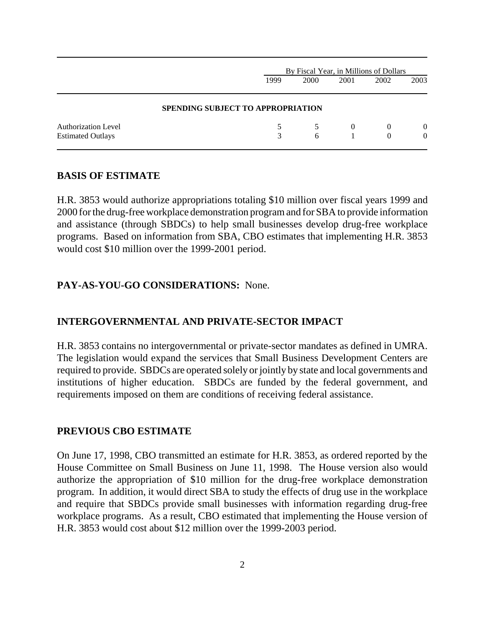|                                                        |                                          | By Fiscal Year, in Millions of Dollars |          |               |                      |  |
|--------------------------------------------------------|------------------------------------------|----------------------------------------|----------|---------------|----------------------|--|
|                                                        | 1999                                     | 2000                                   | 2001     | 2002          | 2003                 |  |
|                                                        | <b>SPENDING SUBJECT TO APPROPRIATION</b> |                                        |          |               |                      |  |
| <b>Authorization Level</b><br><b>Estimated Outlays</b> | 3                                        | 6                                      | $\theta$ | $\theta$<br>0 | $\left($<br>$\Omega$ |  |

#### **BASIS OF ESTIMATE**

H.R. 3853 would authorize appropriations totaling \$10 million over fiscal years 1999 and 2000 for the drug-free workplace demonstration program and for SBA to provide information and assistance (through SBDCs) to help small businesses develop drug-free workplace programs. Based on information from SBA, CBO estimates that implementing H.R. 3853 would cost \$10 million over the 1999-2001 period.

#### **PAY-AS-YOU-GO CONSIDERATIONS:** None.

#### **INTERGOVERNMENTAL AND PRIVATE-SECTOR IMPACT**

H.R. 3853 contains no intergovernmental or private-sector mandates as defined in UMRA. The legislation would expand the services that Small Business Development Centers are required to provide. SBDCs are operated solely or jointly by state and local governments and institutions of higher education. SBDCs are funded by the federal government, and requirements imposed on them are conditions of receiving federal assistance.

#### **PREVIOUS CBO ESTIMATE**

On June 17, 1998, CBO transmitted an estimate for H.R. 3853, as ordered reported by the House Committee on Small Business on June 11, 1998. The House version also would authorize the appropriation of \$10 million for the drug-free workplace demonstration program. In addition, it would direct SBA to study the effects of drug use in the workplace and require that SBDCs provide small businesses with information regarding drug-free workplace programs. As a result, CBO estimated that implementing the House version of H.R. 3853 would cost about \$12 million over the 1999-2003 period.